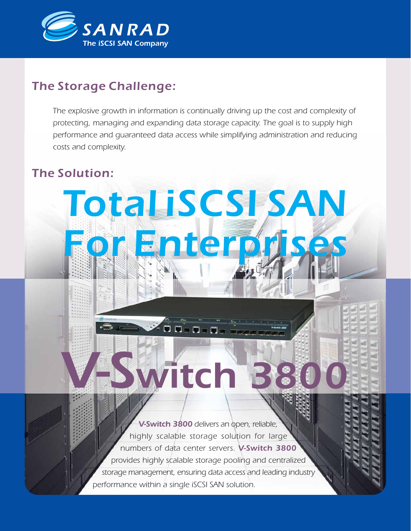

# *The Storage Challenge:*

*The explosive growth in information is continually driving up the cost and complexity of protecting, managing and expanding data storage capacity. The goal is to supply high performance and guaranteed data access while simplifying administration and reducing costs and complexity.*

*Total iSCSI SAN*

*For Enterprises*

.<br>Janga

writch

# *The Solution:*



*3800*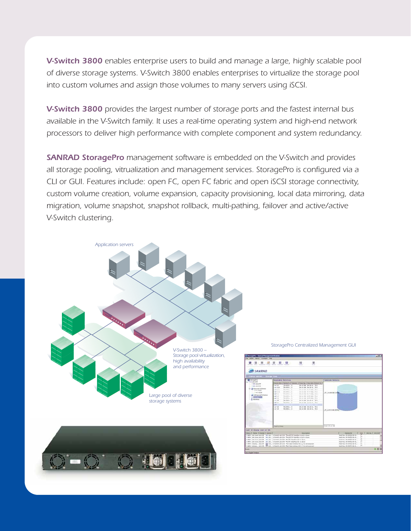*V-Switch 3800 enables enterprise users to build and manage a large, highly scalable pool of diverse storage systems. V-Switch 3800 enables enterprises to virtualize the storage pool into custom volumes and assign those volumes to many servers using iSCSI.*

*V-Switch 3800 provides the largest number of storage ports and the fastest internal bus available in the V-Switch family. It uses a real-time operating system and high-end network processors to deliver high performance with complete component and system redundancy.*

*SANRAD StoragePro management software is embedded on the V-Switch and provides all storage pooling, vitrualization and management services. StoragePro is configured via a CLI or GUI. Features include: open FC, open FC fabric and open iSCSI storage connectivity, custom volume creation, volume expansion, capacity provisioning, local data mirroring, data migration, volume snapshot, snapshot rollback, multi-pathing, failover and active/active V-Switch clustering.*

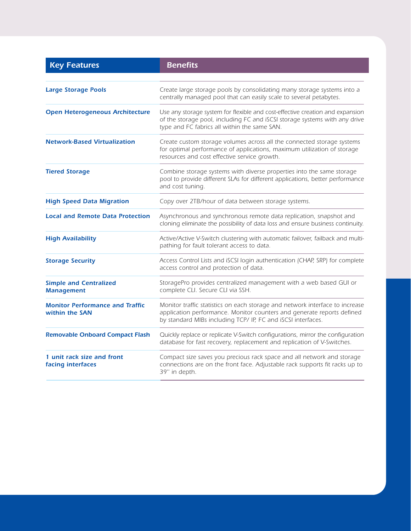| <b>Key Features</b>                                      | <b>Benefits</b>                                                                                                                                                                                                        |
|----------------------------------------------------------|------------------------------------------------------------------------------------------------------------------------------------------------------------------------------------------------------------------------|
|                                                          |                                                                                                                                                                                                                        |
| <b>Large Storage Pools</b>                               | Create large storage pools by consolidating many storage systems into a<br>centrally managed pool that can easily scale to several petabytes.                                                                          |
| <b>Open Heterogeneous Architecture</b>                   | Use any storage system for flexible and cost-effective creation and expansion<br>of the storage pool, including FC and iSCSI storage systems with any drive<br>type and FC fabrics all within the same SAN.            |
| <b>Network-Based Virtualization</b>                      | Create custom storage volumes across all the connected storage systems<br>for optimal performance of applications, maximum utilization of storage<br>resources and cost effective service growth.                      |
| <b>Tiered Storage</b>                                    | Combine storage systems with diverse properties into the same storage<br>pool to provide different SLAs for different applications, better performance<br>and cost tuning.                                             |
| <b>High Speed Data Migration</b>                         | Copy over 2TB/hour of data between storage systems.                                                                                                                                                                    |
| <b>Local and Remote Data Protection</b>                  | Asynchronous and synchronous remote data replication, snapshot and<br>cloning eliminate the possibility of data loss and ensure business continuity.                                                                   |
| <b>High Availability</b>                                 | Active/Active V-Switch clustering with automatic failover, failback and multi-<br>pathing for fault tolerant access to data.                                                                                           |
| <b>Storage Security</b>                                  | Access Control Lists and iSCSI login authentication (CHAP, SRP) for complete<br>access control and protection of data.                                                                                                 |
| <b>Simple and Centralized</b><br><b>Management</b>       | StoragePro provides centralized management with a web based GUI or<br>complete CLI. Secure CLI via SSH.                                                                                                                |
| <b>Monitor Performance and Traffic</b><br>within the SAN | Monitor traffic statistics on each storage and network interface to increase<br>application performance. Monitor counters and generate reports defined<br>by standard MIBs including TCP/ IP, FC and iSCSI interfaces. |
| <b>Removable Onboard Compact Flash</b>                   | Quickly replace or replicate V-Switch configurations, mirror the configuration<br>database for fast recovery, replacement and replication of V-Switches.                                                               |
| 1 unit rack size and front<br>facing interfaces          | Compact size saves you precious rack space and all network and storage<br>connections are on the front face. Adjustable rack supports fit racks up to<br>39" in depth.                                                 |